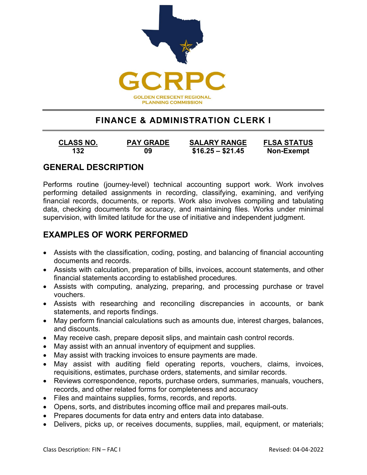

# **FINANCE & ADMINISTRATION CLERK I**

**132 09 \$16.25 – \$21.45 Non-Exempt**

**CLASS NO. PAY GRADE SALARY RANGE FLSA STATUS**

## **GENERAL DESCRIPTION**

Performs routine (journey-level) technical accounting support work. Work involves performing detailed assignments in recording, classifying, examining, and verifying financial records, documents, or reports. Work also involves compiling and tabulating data, checking documents for accuracy, and maintaining files. Works under minimal supervision, with limited latitude for the use of initiative and independent judgment.

### **EXAMPLES OF WORK PERFORMED**

- Assists with the classification, coding, posting, and balancing of financial accounting documents and records.
- Assists with calculation, preparation of bills, invoices, account statements, and other financial statements according to established procedures.
- Assists with computing, analyzing, preparing, and processing purchase or travel vouchers.
- Assists with researching and reconciling discrepancies in accounts, or bank statements, and reports findings.
- May perform financial calculations such as amounts due, interest charges, balances, and discounts.
- May receive cash, prepare deposit slips, and maintain cash control records.
- May assist with an annual inventory of equipment and supplies.
- May assist with tracking invoices to ensure payments are made.
- May assist with auditing field operating reports, vouchers, claims, invoices, requisitions, estimates, purchase orders, statements, and similar records.
- Reviews correspondence, reports, purchase orders, summaries, manuals, vouchers, records, and other related forms for completeness and accuracy
- Files and maintains supplies, forms, records, and reports.
- Opens, sorts, and distributes incoming office mail and prepares mail-outs.
- Prepares documents for data entry and enters data into database.
- Delivers, picks up, or receives documents, supplies, mail, equipment, or materials;